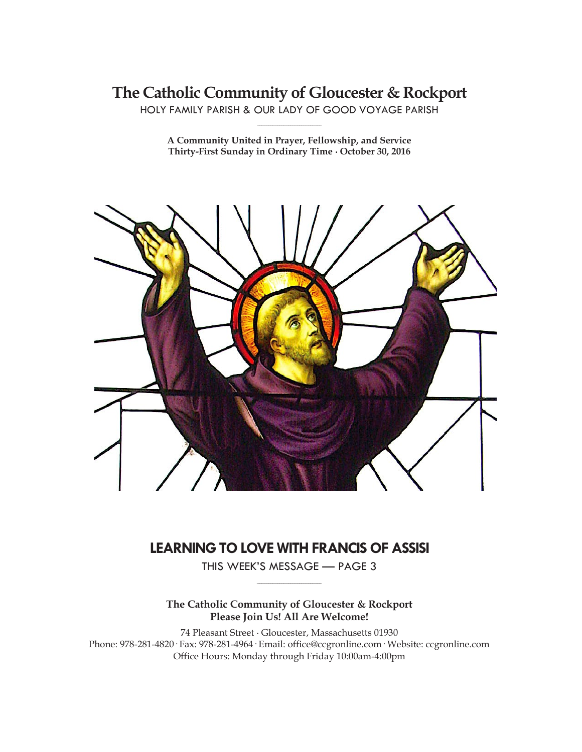# **The Catholic Community of Gloucester & Rockport**

HOLY FAMILY PARISH & OUR LADY OF GOOD VOYAGE PARISH **\_\_\_\_\_\_\_\_\_\_\_\_\_\_\_\_\_\_\_\_\_\_\_\_\_\_\_\_\_**

**A Community United in Prayer, Fellowship, and Service Thirty-First Sunday in Ordinary Time ∙ October 30, 2016**



# **LEARNING TO LOVE WITH FRANCIS OF ASSISI**

THIS WEEK'S MESSAGE — PAGE 3 **\_\_\_\_\_\_\_\_\_\_\_\_\_\_\_\_\_\_\_\_\_\_\_\_\_\_\_\_\_**

# **The Catholic Community of Gloucester & Rockport Please Join Us! All Are Welcome!**

74 Pleasant Street ∙ Gloucester, Massachusetts 01930 Phone: 978-281-4820· Fax: 978-281-4964· Email: office@ccgronline.com· Website: ccgronline.com Office Hours: Monday through Friday 10:00am-4:00pm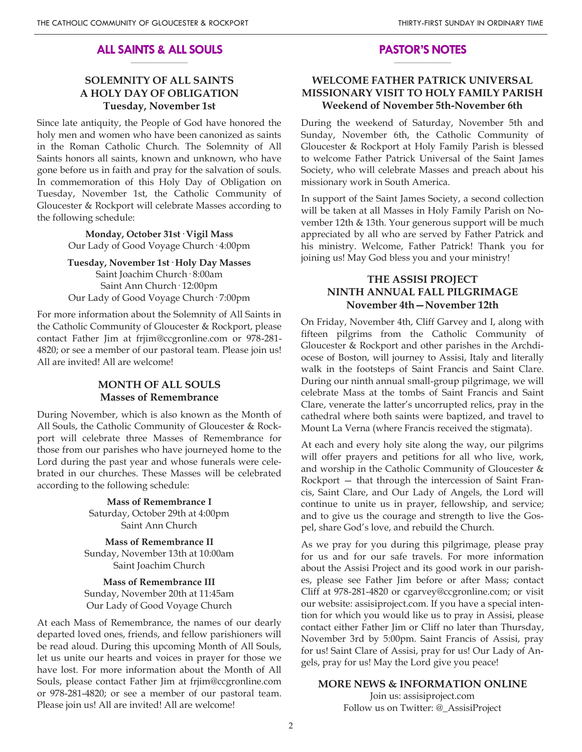#### **ALL SAINTS & ALL SOULS \_\_\_\_\_\_\_\_\_\_\_\_\_\_\_\_\_\_\_\_**

### **SOLEMNITY OF ALL SAINTS A HOLY DAY OF OBLIGATION Tuesday, November 1st**

Since late antiquity, the People of God have honored the holy men and women who have been canonized as saints in the Roman Catholic Church. The Solemnity of All Saints honors all saints, known and unknown, who have gone before us in faith and pray for the salvation of souls. In commemoration of this Holy Day of Obligation on Tuesday, November 1st, the Catholic Community of Gloucester & Rockport will celebrate Masses according to the following schedule:

> **Monday, October 31st· Vigil Mass** Our Lady of Good Voyage Church· 4:00pm

**Tuesday, November 1st· Holy Day Masses** Saint Joachim Church· 8:00am Saint Ann Church· 12:00pm Our Lady of Good Voyage Church· 7:00pm

For more information about the Solemnity of All Saints in the Catholic Community of Gloucester & Rockport, please contact Father Jim at frjim@ccgronline.com or 978-281- 4820; or see a member of our pastoral team. Please join us! All are invited! All are welcome!

### **MONTH OF ALL SOULS Masses of Remembrance**

During November, which is also known as the Month of All Souls, the Catholic Community of Gloucester & Rockport will celebrate three Masses of Remembrance for those from our parishes who have journeyed home to the Lord during the past year and whose funerals were celebrated in our churches. These Masses will be celebrated according to the following schedule:

> **Mass of Remembrance I** Saturday, October 29th at 4:00pm Saint Ann Church

**Mass of Remembrance II** Sunday, November 13th at 10:00am Saint Joachim Church

**Mass of Remembrance III** Sunday, November 20th at 11:45am Our Lady of Good Voyage Church

At each Mass of Remembrance, the names of our dearly departed loved ones, friends, and fellow parishioners will be read aloud. During this upcoming Month of All Souls, let us unite our hearts and voices in prayer for those we have lost. For more information about the Month of All Souls, please contact Father Jim at frjim@ccgronline.com or 978-281-4820; or see a member of our pastoral team. Please join us! All are invited! All are welcome!

#### **PASTOR'S NOTES \_\_\_\_\_\_\_\_\_\_\_\_\_\_\_\_\_\_\_\_**

### **WELCOME FATHER PATRICK UNIVERSAL MISSIONARY VISIT TO HOLY FAMILY PARISH Weekend of November 5th-November 6th**

During the weekend of Saturday, November 5th and Sunday, November 6th, the Catholic Community of Gloucester & Rockport at Holy Family Parish is blessed to welcome Father Patrick Universal of the Saint James Society, who will celebrate Masses and preach about his missionary work in South America.

In support of the Saint James Society, a second collection will be taken at all Masses in Holy Family Parish on November 12th & 13th. Your generous support will be much appreciated by all who are served by Father Patrick and his ministry. Welcome, Father Patrick! Thank you for joining us! May God bless you and your ministry!

### **THE ASSISI PROJECT NINTH ANNUAL FALL PILGRIMAGE November 4th—November 12th**

On Friday, November 4th, Cliff Garvey and I, along with fifteen pilgrims from the Catholic Community of Gloucester & Rockport and other parishes in the Archdiocese of Boston, will journey to Assisi, Italy and literally walk in the footsteps of Saint Francis and Saint Clare. During our ninth annual small-group pilgrimage, we will celebrate Mass at the tombs of Saint Francis and Saint Clare, venerate the latter's uncorrupted relics, pray in the cathedral where both saints were baptized, and travel to Mount La Verna (where Francis received the stigmata).

At each and every holy site along the way, our pilgrims will offer prayers and petitions for all who live, work, and worship in the Catholic Community of Gloucester & Rockport — that through the intercession of Saint Francis, Saint Clare, and Our Lady of Angels, the Lord will continue to unite us in prayer, fellowship, and service; and to give us the courage and strength to live the Gospel, share God's love, and rebuild the Church.

As we pray for you during this pilgrimage, please pray for us and for our safe travels. For more information about the Assisi Project and its good work in our parishes, please see Father Jim before or after Mass; contact Cliff at 978-281-4820 or cgarvey@ccgronline.com; or visit our website: assisiproject.com. If you have a special intention for which you would like us to pray in Assisi, please contact either Father Jim or Cliff no later than Thursday, November 3rd by 5:00pm. Saint Francis of Assisi, pray for us! Saint Clare of Assisi, pray for us! Our Lady of Angels, pray for us! May the Lord give you peace!

### **MORE NEWS & INFORMATION ONLINE**

Join us: assisiproject.com Follow us on Twitter: @\_AssisiProject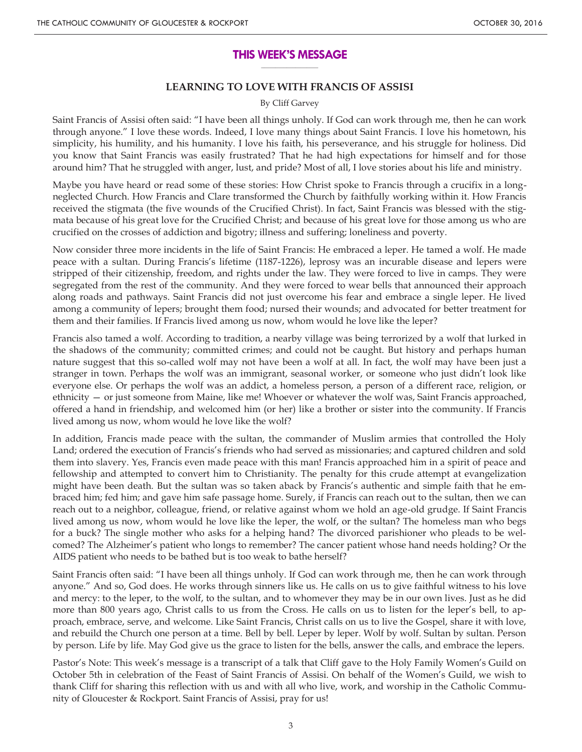#### **THIS WEEK'S MESSAGE \_\_\_\_\_\_\_\_\_\_\_\_\_\_\_\_\_\_\_\_**

### **LEARNING TO LOVE WITH FRANCIS OF ASSISI**

#### By Cliff Garvey

Saint Francis of Assisi often said: "I have been all things unholy. If God can work through me, then he can work through anyone." I love these words. Indeed, I love many things about Saint Francis. I love his hometown, his simplicity, his humility, and his humanity. I love his faith, his perseverance, and his struggle for holiness. Did you know that Saint Francis was easily frustrated? That he had high expectations for himself and for those around him? That he struggled with anger, lust, and pride? Most of all, I love stories about his life and ministry.

Maybe you have heard or read some of these stories: How Christ spoke to Francis through a crucifix in a longneglected Church. How Francis and Clare transformed the Church by faithfully working within it. How Francis received the stigmata (the five wounds of the Crucified Christ). In fact, Saint Francis was blessed with the stigmata because of his great love for the Crucified Christ; and because of his great love for those among us who are crucified on the crosses of addiction and bigotry; illness and suffering; loneliness and poverty.

Now consider three more incidents in the life of Saint Francis: He embraced a leper. He tamed a wolf. He made peace with a sultan. During Francis's lifetime (1187-1226), leprosy was an incurable disease and lepers were stripped of their citizenship, freedom, and rights under the law. They were forced to live in camps. They were segregated from the rest of the community. And they were forced to wear bells that announced their approach along roads and pathways. Saint Francis did not just overcome his fear and embrace a single leper. He lived among a community of lepers; brought them food; nursed their wounds; and advocated for better treatment for them and their families. If Francis lived among us now, whom would he love like the leper?

Francis also tamed a wolf. According to tradition, a nearby village was being terrorized by a wolf that lurked in the shadows of the community; committed crimes; and could not be caught. But history and perhaps human nature suggest that this so-called wolf may not have been a wolf at all. In fact, the wolf may have been just a stranger in town. Perhaps the wolf was an immigrant, seasonal worker, or someone who just didn't look like everyone else. Or perhaps the wolf was an addict, a homeless person, a person of a different race, religion, or ethnicity — or just someone from Maine, like me! Whoever or whatever the wolf was, Saint Francis approached, offered a hand in friendship, and welcomed him (or her) like a brother or sister into the community. If Francis lived among us now, whom would he love like the wolf?

In addition, Francis made peace with the sultan, the commander of Muslim armies that controlled the Holy Land; ordered the execution of Francis's friends who had served as missionaries; and captured children and sold them into slavery. Yes, Francis even made peace with this man! Francis approached him in a spirit of peace and fellowship and attempted to convert him to Christianity. The penalty for this crude attempt at evangelization might have been death. But the sultan was so taken aback by Francis's authentic and simple faith that he embraced him; fed him; and gave him safe passage home. Surely, if Francis can reach out to the sultan, then we can reach out to a neighbor, colleague, friend, or relative against whom we hold an age-old grudge. If Saint Francis lived among us now, whom would he love like the leper, the wolf, or the sultan? The homeless man who begs for a buck? The single mother who asks for a helping hand? The divorced parishioner who pleads to be welcomed? The Alzheimer's patient who longs to remember? The cancer patient whose hand needs holding? Or the AIDS patient who needs to be bathed but is too weak to bathe herself?

Saint Francis often said: "I have been all things unholy. If God can work through me, then he can work through anyone." And so, God does. He works through sinners like us. He calls on us to give faithful witness to his love and mercy: to the leper, to the wolf, to the sultan, and to whomever they may be in our own lives. Just as he did more than 800 years ago, Christ calls to us from the Cross. He calls on us to listen for the leper's bell, to approach, embrace, serve, and welcome. Like Saint Francis, Christ calls on us to live the Gospel, share it with love, and rebuild the Church one person at a time. Bell by bell. Leper by leper. Wolf by wolf. Sultan by sultan. Person by person. Life by life. May God give us the grace to listen for the bells, answer the calls, and embrace the lepers.

Pastor's Note: This week's message is a transcript of a talk that Cliff gave to the Holy Family Women's Guild on October 5th in celebration of the Feast of Saint Francis of Assisi. On behalf of the Women's Guild, we wish to thank Cliff for sharing this reflection with us and with all who live, work, and worship in the Catholic Community of Gloucester & Rockport. Saint Francis of Assisi, pray for us!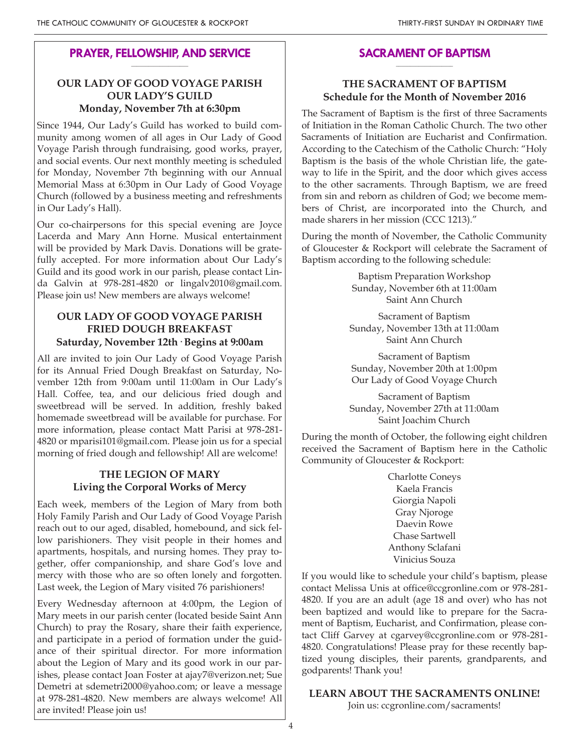#### **PRAYER, FELLOWSHIP, AND SERVICE \_\_\_\_\_\_\_\_\_\_\_\_\_\_\_\_\_\_\_\_**

# **OUR LADY OF GOOD VOYAGE PARISH OUR LADY'S GUILD Monday, November 7th at 6:30pm**

Since 1944, Our Lady's Guild has worked to build community among women of all ages in Our Lady of Good Voyage Parish through fundraising, good works, prayer, and social events. Our next monthly meeting is scheduled for Monday, November 7th beginning with our Annual Memorial Mass at 6:30pm in Our Lady of Good Voyage Church (followed by a business meeting and refreshments in Our Lady's Hall).

Our co-chairpersons for this special evening are Joyce Lacerda and Mary Ann Horne. Musical entertainment will be provided by Mark Davis. Donations will be gratefully accepted. For more information about Our Lady's Guild and its good work in our parish, please contact Linda Galvin at 978-281-4820 or lingalv2010@gmail.com. Please join us! New members are always welcome!

# **OUR LADY OF GOOD VOYAGE PARISH FRIED DOUGH BREAKFAST Saturday, November 12th· Begins at 9:00am**

All are invited to join Our Lady of Good Voyage Parish for its Annual Fried Dough Breakfast on Saturday, November 12th from 9:00am until 11:00am in Our Lady's Hall. Coffee, tea, and our delicious fried dough and sweetbread will be served. In addition, freshly baked homemade sweetbread will be available for purchase. For more information, please contact Matt Parisi at 978-281- 4820 or mparisi101@gmail.com. Please join us for a special morning of fried dough and fellowship! All are welcome!

# **THE LEGION OF MARY Living the Corporal Works of Mercy**

Each week, members of the Legion of Mary from both Holy Family Parish and Our Lady of Good Voyage Parish reach out to our aged, disabled, homebound, and sick fellow parishioners. They visit people in their homes and apartments, hospitals, and nursing homes. They pray together, offer companionship, and share God's love and mercy with those who are so often lonely and forgotten. Last week, the Legion of Mary visited 76 parishioners!

Every Wednesday afternoon at 4:00pm, the Legion of Mary meets in our parish center (located beside Saint Ann Church) to pray the Rosary, share their faith experience, and participate in a period of formation under the guidance of their spiritual director. For more information about the Legion of Mary and its good work in our parishes, please contact Joan Foster at ajay7@verizon.net; Sue Demetri at sdemetri2000@yahoo.com; or leave a message at 978-281-4820. New members are always welcome! All are invited! Please join us!

#### **SACRAMENT OF BAPTISM \_\_\_\_\_\_\_\_\_\_\_\_\_\_\_\_\_\_\_\_**

# **THE SACRAMENT OF BAPTISM Schedule for the Month of November 2016**

The Sacrament of Baptism is the first of three Sacraments of Initiation in the Roman Catholic Church. The two other Sacraments of Initiation are Eucharist and Confirmation. According to the Catechism of the Catholic Church: "Holy Baptism is the basis of the whole Christian life, the gateway to life in the Spirit, and the door which gives access to the other sacraments. Through Baptism, we are freed from sin and reborn as children of God; we become members of Christ, are incorporated into the Church, and made sharers in her mission (CCC 1213)."

During the month of November, the Catholic Community of Gloucester & Rockport will celebrate the Sacrament of Baptism according to the following schedule:

> Baptism Preparation Workshop Sunday, November 6th at 11:00am Saint Ann Church

Sacrament of Baptism Sunday, November 13th at 11:00am Saint Ann Church

Sacrament of Baptism Sunday, November 20th at 1:00pm Our Lady of Good Voyage Church

Sacrament of Baptism Sunday, November 27th at 11:00am Saint Joachim Church

During the month of October, the following eight children received the Sacrament of Baptism here in the Catholic Community of Gloucester & Rockport:

> Charlotte Coneys Kaela Francis Giorgia Napoli Gray Njoroge Daevin Rowe Chase Sartwell Anthony Sclafani Vinicius Souza

If you would like to schedule your child's baptism, please contact Melissa Unis at office@ccgronline.com or 978-281- 4820. If you are an adult (age 18 and over) who has not been baptized and would like to prepare for the Sacrament of Baptism, Eucharist, and Confirmation, please contact Cliff Garvey at cgarvey@ccgronline.com or 978-281- 4820. Congratulations! Please pray for these recently baptized young disciples, their parents, grandparents, and godparents! Thank you!

### **LEARN ABOUT THE SACRAMENTS ONLINE!**

Join us: ccgronline.com/sacraments!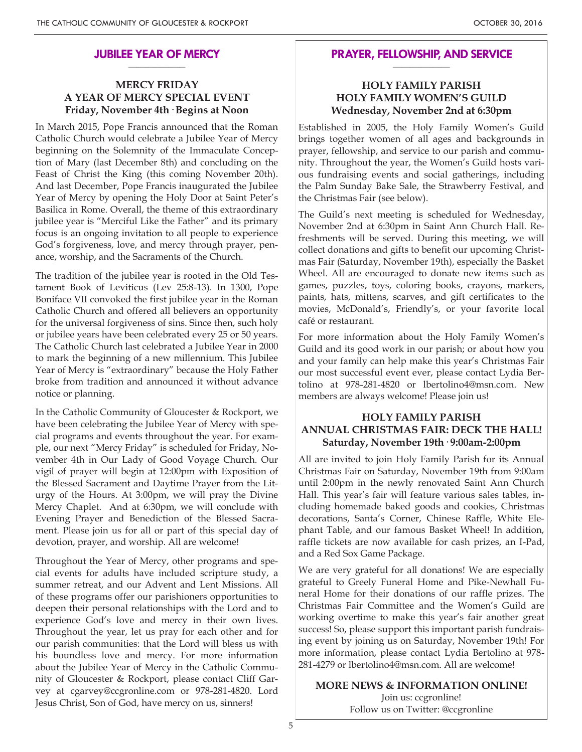#### **JUBILEE YEAR OF MERCY \_\_\_\_\_\_\_\_\_\_\_\_\_\_\_\_\_\_\_\_**

# **MERCY FRIDAY A YEAR OF MERCY SPECIAL EVENT Friday, November 4th· Begins at Noon**

In March 2015, Pope Francis announced that the Roman Catholic Church would celebrate a Jubilee Year of Mercy beginning on the Solemnity of the Immaculate Conception of Mary (last December 8th) and concluding on the Feast of Christ the King (this coming November 20th). And last December, Pope Francis inaugurated the Jubilee Year of Mercy by opening the Holy Door at Saint Peter's Basilica in Rome. Overall, the theme of this extraordinary jubilee year is "Merciful Like the Father" and its primary focus is an ongoing invitation to all people to experience God's forgiveness, love, and mercy through prayer, penance, worship, and the Sacraments of the Church.

The tradition of the jubilee year is rooted in the Old Testament Book of Leviticus (Lev 25:8-13). In 1300, Pope Boniface VII convoked the first jubilee year in the Roman Catholic Church and offered all believers an opportunity for the universal forgiveness of sins. Since then, such holy or jubilee years have been celebrated every 25 or 50 years. The Catholic Church last celebrated a Jubilee Year in 2000 to mark the beginning of a new millennium. This Jubilee Year of Mercy is "extraordinary" because the Holy Father broke from tradition and announced it without advance notice or planning.

In the Catholic Community of Gloucester & Rockport, we have been celebrating the Jubilee Year of Mercy with special programs and events throughout the year. For example, our next "Mercy Friday" is scheduled for Friday, November 4th in Our Lady of Good Voyage Church. Our vigil of prayer will begin at 12:00pm with Exposition of the Blessed Sacrament and Daytime Prayer from the Liturgy of the Hours. At 3:00pm, we will pray the Divine Mercy Chaplet. And at 6:30pm, we will conclude with Evening Prayer and Benediction of the Blessed Sacrament. Please join us for all or part of this special day of devotion, prayer, and worship. All are welcome!

Throughout the Year of Mercy, other programs and special events for adults have included scripture study, a summer retreat, and our Advent and Lent Missions. All of these programs offer our parishioners opportunities to deepen their personal relationships with the Lord and to experience God's love and mercy in their own lives. Throughout the year, let us pray for each other and for our parish communities: that the Lord will bless us with his boundless love and mercy. For more information about the Jubilee Year of Mercy in the Catholic Community of Gloucester & Rockport, please contact Cliff Garvey at cgarvey@ccgronline.com or 978-281-4820. Lord Jesus Christ, Son of God, have mercy on us, sinners!

#### **PRAYER, FELLOWSHIP, AND SERVICE \_\_\_\_\_\_\_\_\_\_\_\_\_\_\_\_\_\_\_\_**

## **HOLY FAMILY PARISH HOLY FAMILY WOMEN'S GUILD Wednesday, November 2nd at 6:30pm**

Established in 2005, the Holy Family Women's Guild brings together women of all ages and backgrounds in prayer, fellowship, and service to our parish and community. Throughout the year, the Women's Guild hosts various fundraising events and social gatherings, including the Palm Sunday Bake Sale, the Strawberry Festival, and the Christmas Fair (see below).

The Guild's next meeting is scheduled for Wednesday, November 2nd at 6:30pm in Saint Ann Church Hall. Refreshments will be served. During this meeting, we will collect donations and gifts to benefit our upcoming Christmas Fair (Saturday, November 19th), especially the Basket Wheel. All are encouraged to donate new items such as games, puzzles, toys, coloring books, crayons, markers, paints, hats, mittens, scarves, and gift certificates to the movies, McDonald's, Friendly's, or your favorite local café or restaurant.

For more information about the Holy Family Women's Guild and its good work in our parish; or about how you and your family can help make this year's Christmas Fair our most successful event ever, please contact Lydia Bertolino at 978-281-4820 or lbertolino4@msn.com. New members are always welcome! Please join us!

# **HOLY FAMILY PARISH ANNUAL CHRISTMAS FAIR: DECK THE HALL! Saturday, November 19th· 9:00am-2:00pm**

All are invited to join Holy Family Parish for its Annual Christmas Fair on Saturday, November 19th from 9:00am until 2:00pm in the newly renovated Saint Ann Church Hall. This year's fair will feature various sales tables, including homemade baked goods and cookies, Christmas decorations, Santa's Corner, Chinese Raffle, White Elephant Table, and our famous Basket Wheel! In addition, raffle tickets are now available for cash prizes, an I-Pad, and a Red Sox Game Package.

We are very grateful for all donations! We are especially grateful to Greely Funeral Home and Pike-Newhall Funeral Home for their donations of our raffle prizes. The Christmas Fair Committee and the Women's Guild are working overtime to make this year's fair another great success! So, please support this important parish fundraising event by joining us on Saturday, November 19th! For more information, please contact Lydia Bertolino at 978- 281-4279 or lbertolino4@msn.com. All are welcome!

### **MORE NEWS & INFORMATION ONLINE!** Join us: ccgronline! Follow us on Twitter: @ccgronline